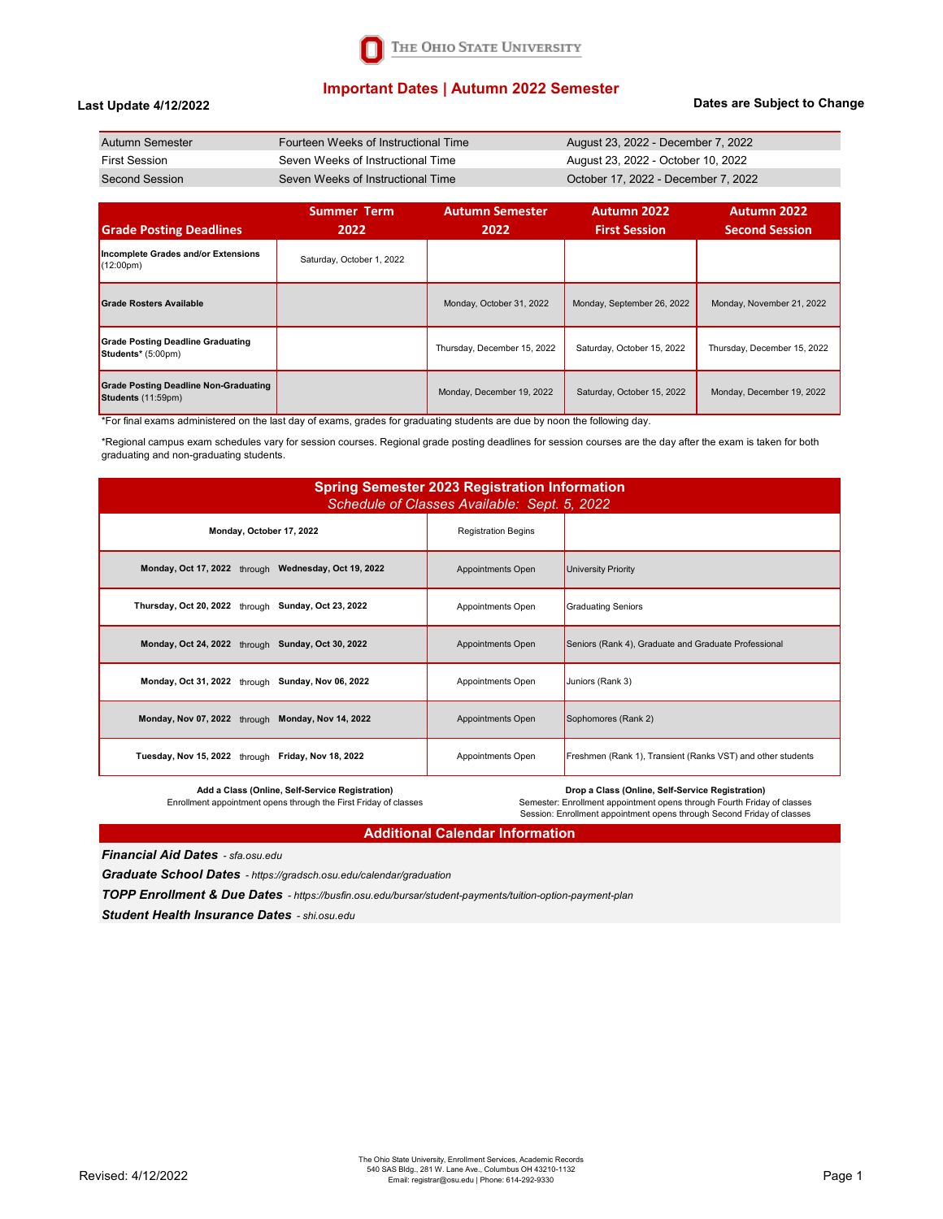

## **Important Dates | Autumn 2022 Semester**

### **Last Update 4/12/2022**

### **Dates are Subject to Change**

| Autumn Semester | Fourteen Weeks of Instructional Time | August 23, 2022 - December 7, 2022  |
|-----------------|--------------------------------------|-------------------------------------|
| First Session   | Seven Weeks of Instructional Time    | August 23, 2022 - October 10, 2022  |
| Second Session  | Seven Weeks of Instructional Time    | October 17, 2022 - December 7, 2022 |

| <b>Grade Posting Deadlines</b>                                     | <b>Summer Term</b><br>2022 | <b>Autumn Semester</b><br>2022 | <b>Autumn 2022</b><br><b>First Session</b> | Autumn 2022<br><b>Second Session</b> |
|--------------------------------------------------------------------|----------------------------|--------------------------------|--------------------------------------------|--------------------------------------|
| Incomplete Grades and/or Extensions<br>$(12:00 \text{pm})$         | Saturday, October 1, 2022  |                                |                                            |                                      |
| <b>Grade Rosters Available</b>                                     |                            | Monday, October 31, 2022       | Monday, September 26, 2022                 | Monday, November 21, 2022            |
| <b>Grade Posting Deadline Graduating</b><br>Students* (5:00pm)     |                            | Thursday, December 15, 2022    | Saturday, October 15, 2022                 | Thursday, December 15, 2022          |
| <b>Grade Posting Deadline Non-Graduating</b><br>Students (11:59pm) |                            | Monday, December 19, 2022      | Saturday, October 15, 2022                 | Monday, December 19, 2022            |

\*For final exams administered on the last day of exams, grades for graduating students are due by noon the following day.

\*Regional campus exam schedules vary for session courses. Regional grade posting deadlines for session courses are the day after the exam is taken for both graduating and non-graduating students.

| <b>Spring Semester 2023 Registration Information</b><br>Schedule of Classes Available: Sept. 5, 2022 |                            |                                                             |  |  |  |
|------------------------------------------------------------------------------------------------------|----------------------------|-------------------------------------------------------------|--|--|--|
| Monday, October 17, 2022                                                                             | <b>Registration Begins</b> |                                                             |  |  |  |
| Monday, Oct 17, 2022 through Wednesday, Oct 19, 2022                                                 | Appointments Open          | University Priority                                         |  |  |  |
| Thursday, Oct 20, 2022 through Sunday, Oct 23, 2022                                                  | Appointments Open          | <b>Graduating Seniors</b>                                   |  |  |  |
| Monday, Oct 24, 2022 through Sunday, Oct 30, 2022                                                    | Appointments Open          | Seniors (Rank 4), Graduate and Graduate Professional        |  |  |  |
| Monday, Oct 31, 2022 through Sunday, Nov 06, 2022                                                    | Appointments Open          | Juniors (Rank 3)                                            |  |  |  |
| Monday, Nov 07, 2022 through Monday, Nov 14, 2022                                                    | Appointments Open          | Sophomores (Rank 2)                                         |  |  |  |
| Tuesday, Nov 15, 2022 through Friday, Nov 18, 2022                                                   | Appointments Open          | Freshmen (Rank 1), Transient (Ranks VST) and other students |  |  |  |
| Add a Class (Online, Self-Service Registration)                                                      |                            | Dron a Class (Online, Self-Service Pegistration)            |  |  |  |

**Add a Class (Online, Self-Service Registration)**  Enrollment appointment opens through the First Friday of classes

**Drop a Class (Online, Self-Service Registration)<br>Semester: Enrollment appointment opens through Fourth Friday of classes<br>Session: Enrollment appointment opens through Second Friday of classes** 

## **Additional Calendar Information**

*Financial Aid Dates - sfa.osu.edu*

*Graduate School Dates - https://gradsch.osu.edu/calendar/graduation*

*TOPP Enrollment & Due Dates - https://busfin.osu.edu/bursar/student-payments/tuition-option-payment-plan*

*Student Health Insurance Dates - shi.osu.edu*